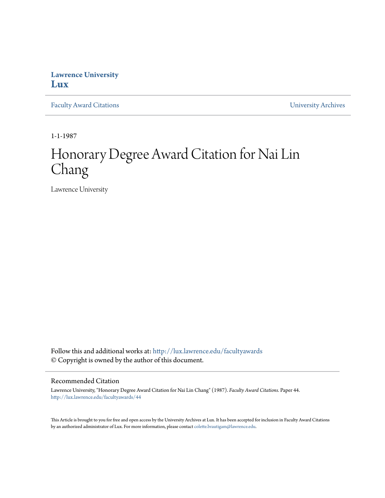## **Lawrence University [Lux](http://lux.lawrence.edu?utm_source=lux.lawrence.edu%2Ffacultyawards%2F44&utm_medium=PDF&utm_campaign=PDFCoverPages)**

[Faculty Award Citations](http://lux.lawrence.edu/facultyawards?utm_source=lux.lawrence.edu%2Ffacultyawards%2F44&utm_medium=PDF&utm_campaign=PDFCoverPages) **Example 2018** [University Archives](http://lux.lawrence.edu/archives?utm_source=lux.lawrence.edu%2Ffacultyawards%2F44&utm_medium=PDF&utm_campaign=PDFCoverPages)

1-1-1987

# Honorary Degree Award Citation for Nai Lin Chang

Lawrence University

Follow this and additional works at: [http://lux.lawrence.edu/facultyawards](http://lux.lawrence.edu/facultyawards?utm_source=lux.lawrence.edu%2Ffacultyawards%2F44&utm_medium=PDF&utm_campaign=PDFCoverPages) © Copyright is owned by the author of this document.

#### Recommended Citation

Lawrence University, "Honorary Degree Award Citation for Nai Lin Chang" (1987). *Faculty Award Citations.* Paper 44. [http://lux.lawrence.edu/facultyawards/44](http://lux.lawrence.edu/facultyawards/44?utm_source=lux.lawrence.edu%2Ffacultyawards%2F44&utm_medium=PDF&utm_campaign=PDFCoverPages)

This Article is brought to you for free and open access by the University Archives at Lux. It has been accepted for inclusion in Faculty Award Citations by an authorized administrator of Lux. For more information, please contact [colette.brautigam@lawrence.edu](mailto:colette.brautigam@lawrence.edu).